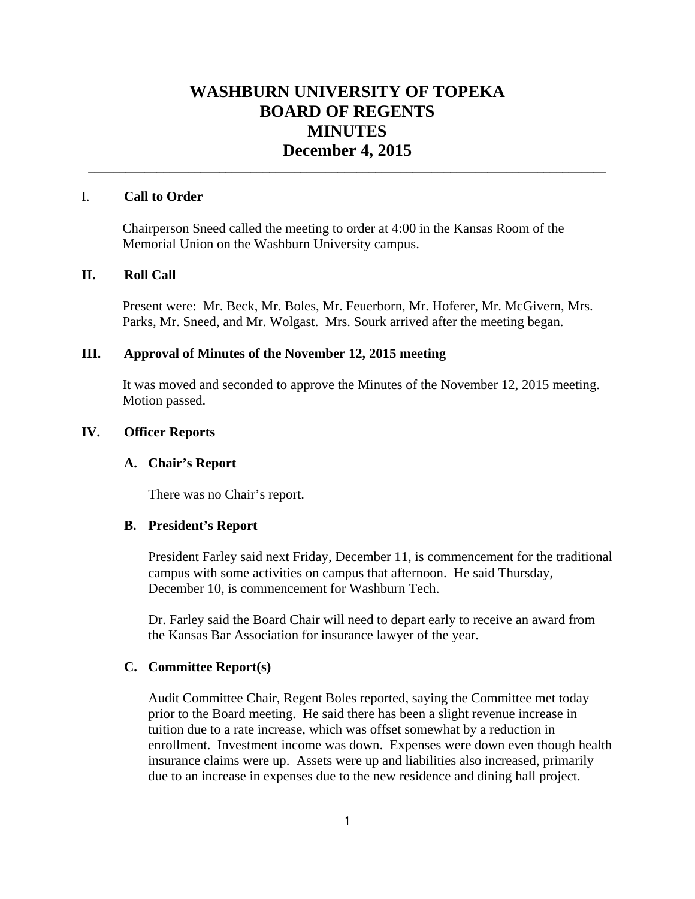# **WASHBURN UNIVERSITY OF TOPEKA BOARD OF REGENTS MINUTES December 4, 2015**

**\_\_\_\_\_\_\_\_\_\_\_\_\_\_\_\_\_\_\_\_\_\_\_\_\_\_\_\_\_\_\_\_\_\_\_\_\_\_\_\_\_\_\_\_\_\_\_\_\_\_\_\_\_\_\_\_\_\_\_\_\_\_\_\_\_\_\_\_\_\_\_\_\_\_\_\_\_\_\_\_\_\_\_**

#### I. **Call to Order**

Chairperson Sneed called the meeting to order at 4:00 in the Kansas Room of the Memorial Union on the Washburn University campus.

# **II. Roll Call**

Present were: Mr. Beck, Mr. Boles, Mr. Feuerborn, Mr. Hoferer, Mr. McGivern, Mrs. Parks, Mr. Sneed, and Mr. Wolgast. Mrs. Sourk arrived after the meeting began.

#### **III. Approval of Minutes of the November 12, 2015 meeting**

It was moved and seconded to approve the Minutes of the November 12, 2015 meeting. Motion passed.

## **IV. Officer Reports**

#### **A. Chair's Report**

There was no Chair's report.

#### **B. President's Report**

President Farley said next Friday, December 11, is commencement for the traditional campus with some activities on campus that afternoon. He said Thursday, December 10, is commencement for Washburn Tech.

Dr. Farley said the Board Chair will need to depart early to receive an award from the Kansas Bar Association for insurance lawyer of the year.

#### **C. Committee Report(s)**

Audit Committee Chair, Regent Boles reported, saying the Committee met today prior to the Board meeting. He said there has been a slight revenue increase in tuition due to a rate increase, which was offset somewhat by a reduction in enrollment. Investment income was down. Expenses were down even though health insurance claims were up. Assets were up and liabilities also increased, primarily due to an increase in expenses due to the new residence and dining hall project.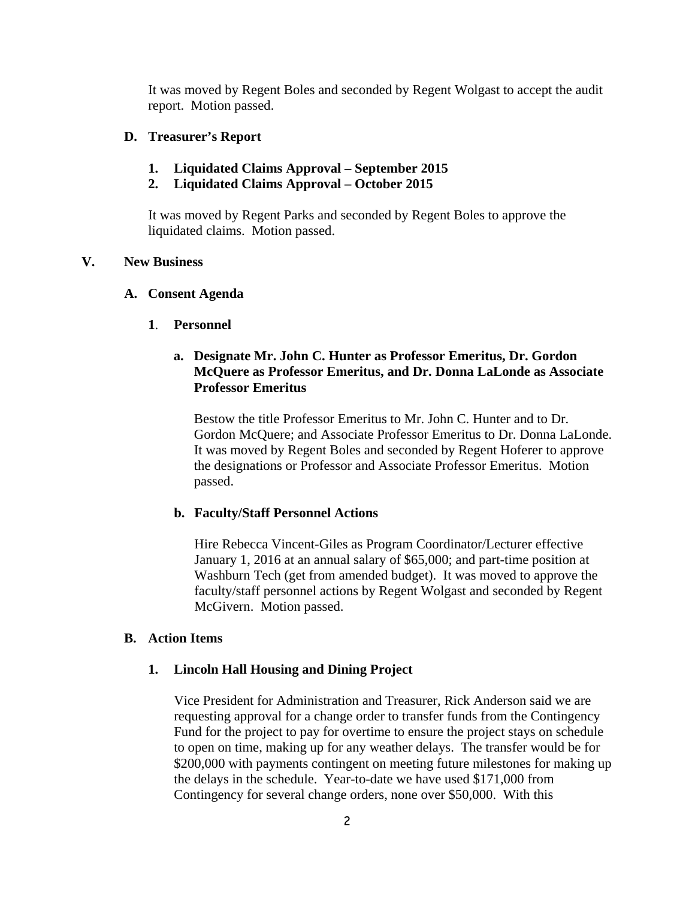It was moved by Regent Boles and seconded by Regent Wolgast to accept the audit report. Motion passed.

## **D. Treasurer's Report**

- **1. Liquidated Claims Approval September 2015**
- **2. Liquidated Claims Approval October 2015**

It was moved by Regent Parks and seconded by Regent Boles to approve the liquidated claims. Motion passed.

## **V. New Business**

#### **A. Consent Agenda**

 **1**. **Personnel** 

# **a. Designate Mr. John C. Hunter as Professor Emeritus, Dr. Gordon McQuere as Professor Emeritus, and Dr. Donna LaLonde as Associate Professor Emeritus**

Bestow the title Professor Emeritus to Mr. John C. Hunter and to Dr. Gordon McQuere; and Associate Professor Emeritus to Dr. Donna LaLonde. It was moved by Regent Boles and seconded by Regent Hoferer to approve the designations or Professor and Associate Professor Emeritus. Motion passed.

## **b. Faculty/Staff Personnel Actions**

Hire Rebecca Vincent-Giles as Program Coordinator/Lecturer effective January 1, 2016 at an annual salary of \$65,000; and part-time position at Washburn Tech (get from amended budget). It was moved to approve the faculty/staff personnel actions by Regent Wolgast and seconded by Regent McGivern. Motion passed.

#### **B. Action Items**

## **1. Lincoln Hall Housing and Dining Project**

Vice President for Administration and Treasurer, Rick Anderson said we are requesting approval for a change order to transfer funds from the Contingency Fund for the project to pay for overtime to ensure the project stays on schedule to open on time, making up for any weather delays. The transfer would be for \$200,000 with payments contingent on meeting future milestones for making up the delays in the schedule. Year-to-date we have used \$171,000 from Contingency for several change orders, none over \$50,000. With this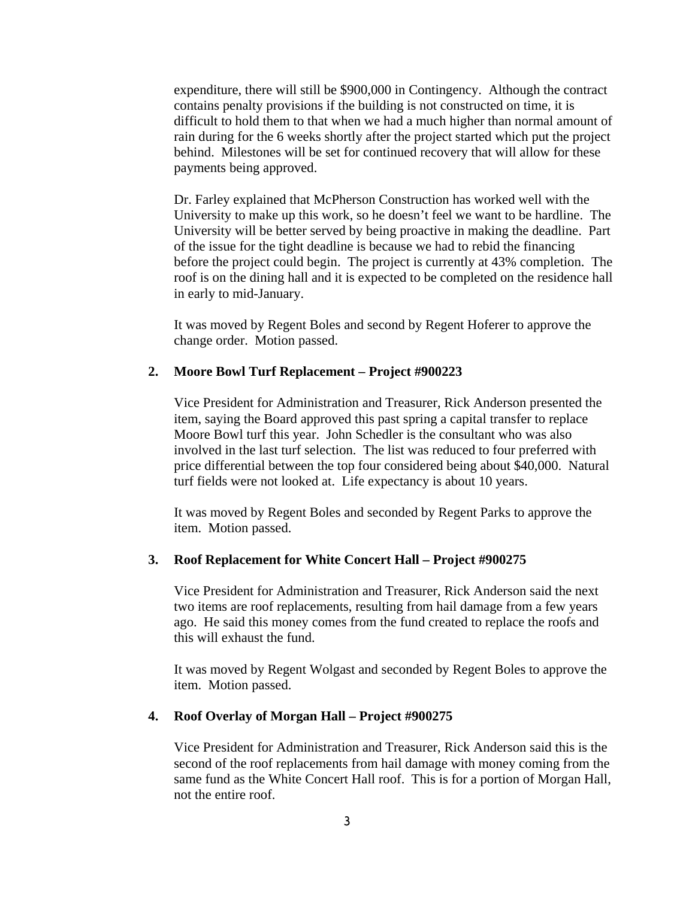expenditure, there will still be \$900,000 in Contingency. Although the contract contains penalty provisions if the building is not constructed on time, it is difficult to hold them to that when we had a much higher than normal amount of rain during for the 6 weeks shortly after the project started which put the project behind. Milestones will be set for continued recovery that will allow for these payments being approved.

Dr. Farley explained that McPherson Construction has worked well with the University to make up this work, so he doesn't feel we want to be hardline. The University will be better served by being proactive in making the deadline. Part of the issue for the tight deadline is because we had to rebid the financing before the project could begin. The project is currently at 43% completion. The roof is on the dining hall and it is expected to be completed on the residence hall in early to mid-January.

It was moved by Regent Boles and second by Regent Hoferer to approve the change order. Motion passed.

#### **2. Moore Bowl Turf Replacement – Project #900223**

Vice President for Administration and Treasurer, Rick Anderson presented the item, saying the Board approved this past spring a capital transfer to replace Moore Bowl turf this year. John Schedler is the consultant who was also involved in the last turf selection. The list was reduced to four preferred with price differential between the top four considered being about \$40,000. Natural turf fields were not looked at. Life expectancy is about 10 years.

It was moved by Regent Boles and seconded by Regent Parks to approve the item. Motion passed.

#### **3. Roof Replacement for White Concert Hall – Project #900275**

Vice President for Administration and Treasurer, Rick Anderson said the next two items are roof replacements, resulting from hail damage from a few years ago. He said this money comes from the fund created to replace the roofs and this will exhaust the fund.

It was moved by Regent Wolgast and seconded by Regent Boles to approve the item. Motion passed.

#### **4. Roof Overlay of Morgan Hall – Project #900275**

Vice President for Administration and Treasurer, Rick Anderson said this is the second of the roof replacements from hail damage with money coming from the same fund as the White Concert Hall roof. This is for a portion of Morgan Hall, not the entire roof.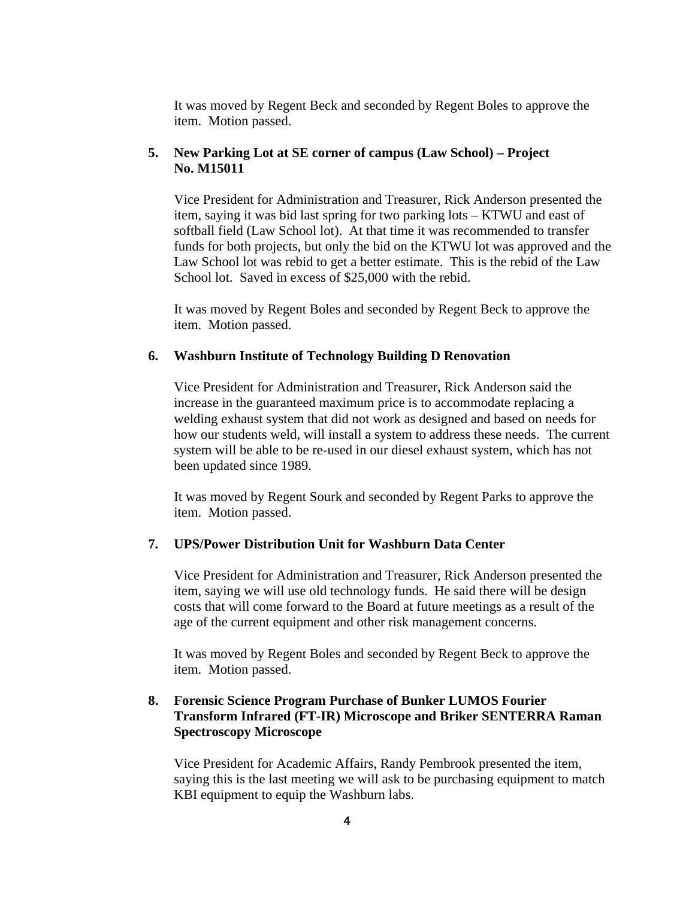It was moved by Regent Beck and seconded by Regent Boles to approve the item. Motion passed.

# **5. New Parking Lot at SE corner of campus (Law School) – Project No. M15011**

Vice President for Administration and Treasurer, Rick Anderson presented the item, saying it was bid last spring for two parking lots – KTWU and east of softball field (Law School lot). At that time it was recommended to transfer funds for both projects, but only the bid on the KTWU lot was approved and the Law School lot was rebid to get a better estimate. This is the rebid of the Law School lot. Saved in excess of \$25,000 with the rebid.

It was moved by Regent Boles and seconded by Regent Beck to approve the item. Motion passed.

## **6. Washburn Institute of Technology Building D Renovation**

Vice President for Administration and Treasurer, Rick Anderson said the increase in the guaranteed maximum price is to accommodate replacing a welding exhaust system that did not work as designed and based on needs for how our students weld, will install a system to address these needs. The current system will be able to be re-used in our diesel exhaust system, which has not been updated since 1989.

It was moved by Regent Sourk and seconded by Regent Parks to approve the item. Motion passed.

## **7. UPS/Power Distribution Unit for Washburn Data Center**

Vice President for Administration and Treasurer, Rick Anderson presented the item, saying we will use old technology funds. He said there will be design costs that will come forward to the Board at future meetings as a result of the age of the current equipment and other risk management concerns.

It was moved by Regent Boles and seconded by Regent Beck to approve the item. Motion passed.

# **8. Forensic Science Program Purchase of Bunker LUMOS Fourier Transform Infrared (FT-IR) Microscope and Briker SENTERRA Raman Spectroscopy Microscope**

Vice President for Academic Affairs, Randy Pembrook presented the item, saying this is the last meeting we will ask to be purchasing equipment to match KBI equipment to equip the Washburn labs.